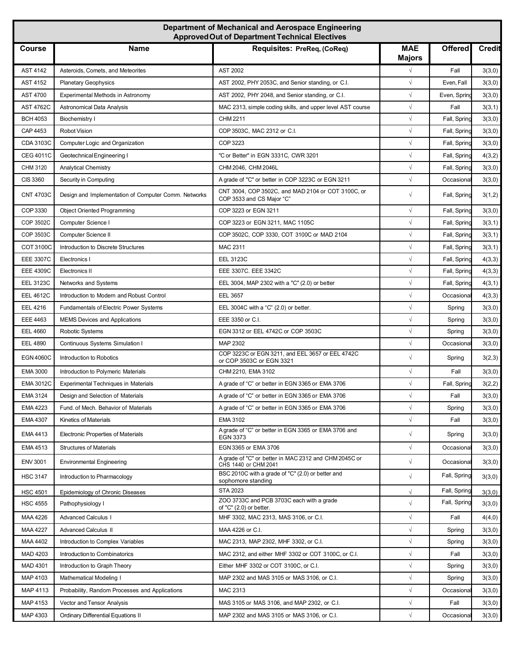| Department of Mechanical and Aerospace Engineering<br><b>Approved Out of Department Technical Electives</b> |                                                      |                                                                                                                                    |                             |                |               |  |  |  |
|-------------------------------------------------------------------------------------------------------------|------------------------------------------------------|------------------------------------------------------------------------------------------------------------------------------------|-----------------------------|----------------|---------------|--|--|--|
| <b>Course</b>                                                                                               | <b>Name</b>                                          | Requisites: PreReq, (CoReq)                                                                                                        | <b>MAE</b><br><b>Majors</b> | <b>Offered</b> | <b>Credit</b> |  |  |  |
| <b>AST 4142</b>                                                                                             | Asteroids, Comets, and Meteorites                    | <b>AST 2002</b>                                                                                                                    | $\sqrt{ }$                  | Fall           | 3(3,0)        |  |  |  |
| <b>AST 4152</b>                                                                                             | <b>Planetary Geophysics</b>                          | AST 2002, PHY 2053C, and Senior standing, or C.I.                                                                                  | $\sqrt{ }$                  | Even, Fall     | 3(3,0)        |  |  |  |
| <b>AST 4700</b>                                                                                             | Experimental Methods in Astronomy                    | AST 2002, PHY 2048, and Senior standing, or C.I.                                                                                   | $\sqrt{ }$                  | Even, Spring   | 3(3,0)        |  |  |  |
| <b>AST 4762C</b>                                                                                            | Astronomical Data Analysis                           | MAC 2313, simple coding skills, and upper level AST course                                                                         | $\sqrt{ }$                  | Fall           | 3(3,1)        |  |  |  |
| <b>BCH 4053</b>                                                                                             | Biochemistry I                                       | CHM 2211                                                                                                                           | $\sqrt{ }$                  | Fall, Spring   | 3(3,0)        |  |  |  |
| CAP 4453                                                                                                    | <b>Robot Vision</b>                                  | COP 3503C, MAC 2312 or C.I.                                                                                                        | $\sqrt{ }$                  | Fall, Spring   | 3(3,0)        |  |  |  |
| CDA 3103C                                                                                                   | Computer Logic and Organization                      | COP 3223                                                                                                                           | $\sqrt{ }$                  | Fall, Spring   | 3(3,0)        |  |  |  |
| <b>CEG 4011C</b>                                                                                            | Geotechnical Engineering I                           | "C or Better" in EGN 3331C, CWR 3201                                                                                               | $\sqrt{}$                   | Fall, Spring   | 4(3,2)        |  |  |  |
| CHM 3120                                                                                                    | <b>Analytical Chemistry</b>                          | CHM 2046, CHM 2046L                                                                                                                | $\sqrt{}$                   | Fall, Spring   | 3(3,0)        |  |  |  |
| CIS 3360                                                                                                    | Security in Computing                                | A grade of "C" or better in COP 3223C or EGN 3211                                                                                  | $\sqrt{ }$                  | Occasiona      | 3(3,0)        |  |  |  |
| <b>CNT 4703C</b>                                                                                            | Design and Implementation of Computer Comm. Networks | CNT 3004, COP 3502C, and MAD 2104 or COT 3100C, or<br>COP 3533 and CS Major "C"                                                    | $\sqrt{}$                   | Fall, Spring   | 3(1,2)        |  |  |  |
| COP 3330                                                                                                    | <b>Object Oriented Programming</b>                   | COP 3223 or EGN 3211                                                                                                               | $\sqrt{ }$                  | Fall, Spring   | 3(3,0)        |  |  |  |
| COP 3502C                                                                                                   | Computer Science I                                   | COP 3223 or EGN 3211, MAC 1105C                                                                                                    | $\sqrt{ }$                  | Fall, Spring   | 3(3,1)        |  |  |  |
| COP 3503C                                                                                                   | Computer Science II                                  | COP 3502C, COP 3330, COT 3100C or MAD 2104                                                                                         | $\sqrt{ }$                  | Fall, Spring   | 3(3,1)        |  |  |  |
| <b>COT 3100C</b>                                                                                            | Introduction to Discrete Structures                  | MAC 2311                                                                                                                           | $\sqrt{ }$                  | Fall, Spring   | 3(3,1)        |  |  |  |
| <b>EEE 3307C</b>                                                                                            | Electronics I                                        | <b>EEL 3123C</b>                                                                                                                   | $\sqrt{ }$                  | Fall, Spring   | 4(3,3)        |  |  |  |
| <b>EEE 4309C</b>                                                                                            | Electronics II                                       | EEE 3307C. EEE 3342C                                                                                                               | $\sqrt{ }$                  | Fall, Spring   | 4(3,3)        |  |  |  |
| <b>EEL 3123C</b>                                                                                            | Networks and Systems                                 | EEL 3004, MAP 2302 with a "C" (2.0) or better                                                                                      | $\sqrt{ }$                  | Fall, Spring   | 4(3,1)        |  |  |  |
| <b>EEL 4612C</b>                                                                                            | Introduction to Modern and Robust Control            | <b>EEL 3657</b>                                                                                                                    | $\sqrt{ }$                  | Occasiona      | 4(3,3)        |  |  |  |
| <b>EEL 4216</b>                                                                                             | Fundamentals of Electric Power Systems               | EEL 3004C with a "C" (2.0) or better.                                                                                              | $\sqrt{}$                   | Spring         | 3(3,0)        |  |  |  |
| <b>EEE 4463</b>                                                                                             | <b>MEMS Devices and Applications</b>                 | EEE 3350 or C.I.                                                                                                                   | $\sqrt{ }$                  | Spring         | 3(3,0)        |  |  |  |
| <b>EEL 4660</b>                                                                                             | Robotic Systems                                      | EGN 3312 or EEL 4742C or COP 3503C                                                                                                 | $\sqrt{ }$                  | Spring         | 3(3,0)        |  |  |  |
| <b>EEL 4890</b>                                                                                             | Continuous Systems Simulation I                      | MAP 2302                                                                                                                           | $\sqrt{ }$                  | Occasiona      | 3(3,0)        |  |  |  |
| <b>EGN 4060C</b>                                                                                            | Introduction to Robotics                             | COP 3223C or EGN 3211, and EEL 3657 or EEL 4742C<br>or COP 3503C or EGN 3321                                                       | $\sqrt{ }$                  | Spring         | 3(2,3)        |  |  |  |
| <b>EMA 3000</b>                                                                                             | Introduction to Polymeric Materials                  | CHM 2210, EMA 3102                                                                                                                 | $\sqrt{ }$                  | Fall           | 3(3,0)        |  |  |  |
| <b>EMA 3012C</b>                                                                                            | <b>Experimental Techniques in Materials</b>          | A grade of "C" or better in EGN 3365 or EMA 3706                                                                                   | $\sqrt{}$                   | Fall, Spring   | 3(2,2)        |  |  |  |
| <b>EMA 3124</b>                                                                                             | Design and Selection of Materials                    | A grade of "C" or better in EGN 3365 or EMA 3706                                                                                   | $\sqrt{ }$                  | Fall           | 3(3,0)        |  |  |  |
| EMA 4223                                                                                                    | Fund. of Mech. Behavior of Materials                 | A grade of "C" or better in EGN 3365 or EMA 3706                                                                                   | $\sqrt{}$                   | Spring         | 3(3,0)        |  |  |  |
| EMA 4307                                                                                                    | Kinetics of Materials                                | EMA 3102                                                                                                                           | $\sqrt{}$                   | Fall           | 3(3,0)        |  |  |  |
| EMA 4413                                                                                                    | Electronic Properties of Materials                   | A grade of "C" or better in EGN 3365 or EMA 3706 and<br><b>EGN 3373</b>                                                            | $\sqrt{ }$                  | Spring         | 3(3,0)        |  |  |  |
| EMA 4513                                                                                                    | <b>Structures of Materials</b>                       | EGN 3365 or EMA 3706                                                                                                               | $\sqrt{ }$                  | Occasiona      | 3(3,0)        |  |  |  |
| <b>ENV 3001</b>                                                                                             | <b>Environmental Engineering</b>                     | A grade of "C" or better in MAC 2312 and CHM 2045C or<br>CHS 1440 or CHM 2041<br>BSC 2010C with a grade of "C" (2.0) or better and | $\sqrt{ }$                  | Occasiona      | 3(3,0)        |  |  |  |
| <b>HSC 3147</b>                                                                                             | Introduction to Pharmacology                         | sophomore standing                                                                                                                 | $\sqrt{ }$                  | Fall, Spring   | 3(3,0)        |  |  |  |
| <b>HSC 4501</b>                                                                                             | Epidemiology of Chronic Diseases                     | <b>STA 2023</b>                                                                                                                    | $\sqrt{}$                   | Fall, Spring   | 3(3,0)        |  |  |  |
| <b>HSC 4555</b>                                                                                             | Pathophysiology I                                    | ZOO 3733C and PCB 3703C each with a grade<br>of "C" $(2.0)$ or better.                                                             | $\sqrt{}$                   | Fall, Spring   | 3(3,0)        |  |  |  |
| MAA 4226                                                                                                    | <b>Advanced Calculus I</b>                           | MHF 3302, MAC 2313, MAS 3106, or C.I.                                                                                              | $\sqrt{ }$                  | Fall           | 4(4,0)        |  |  |  |
| MAA 4227                                                                                                    | <b>Advanced Calculus II</b>                          | MAA 4226 or C.I.                                                                                                                   | $\sqrt{}$                   | Spring         | 3(3,0)        |  |  |  |
| MAA 4402                                                                                                    | Introduction to Complex Variables                    | MAC 2313, MAP 2302, MHF 3302, or C.I.                                                                                              | $\sqrt{}$                   | Spring         | 3(3,0)        |  |  |  |
| MAD 4203                                                                                                    | Introduction to Combinatorics                        | MAC 2312, and either MHF 3302 or COT 3100C, or C.I.                                                                                | $\sqrt{}$                   | Fall           | 3(3,0)        |  |  |  |
| MAD 4301                                                                                                    | Introduction to Graph Theory                         | Either MHF 3302 or COT 3100C, or C.I.                                                                                              | $\sqrt{ }$                  | Spring         | 3(3,0)        |  |  |  |
| MAP 4103                                                                                                    | Mathematical Modeling I                              | MAP 2302 and MAS 3105 or MAS 3106, or C.I.                                                                                         | $\sqrt{}$                   | Spring         | 3(3,0)        |  |  |  |
| MAP 4113                                                                                                    | Probability, Random Processes and Applications       | MAC 2313                                                                                                                           | $\sqrt{ }$                  | Occasiona      | 3(3,0)        |  |  |  |
| MAP 4153                                                                                                    | Vector and Tensor Analysis                           | MAS 3105 or MAS 3106, and MAP 2302, or C.I.                                                                                        | $\sqrt{}$                   | Fall           | 3(3,0)        |  |  |  |
| MAP 4303                                                                                                    | <b>Ordinary Differential Equations II</b>            | MAP 2302 and MAS 3105 or MAS 3106, or C.I.                                                                                         | $\sqrt{ }$                  | Occasiona      | 3(3,0)        |  |  |  |